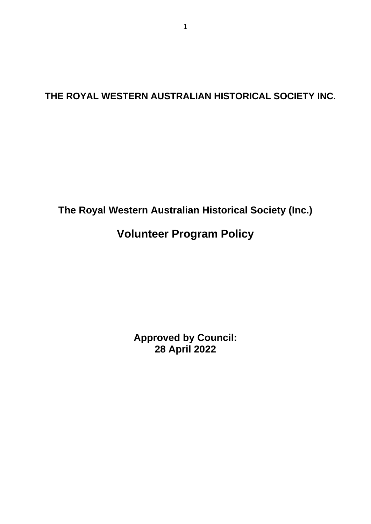## **THE ROYAL WESTERN AUSTRALIAN HISTORICAL SOCIETY INC.**

## **The Royal Western Australian Historical Society (Inc.)**

# **Volunteer Program Policy**

**Approved by Council: 28 April 2022**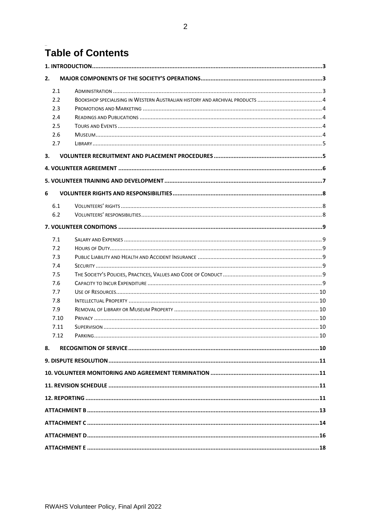# Table of Contents

| 2.   |  |  |
|------|--|--|
| 2.1  |  |  |
| 2.2  |  |  |
| 2.3  |  |  |
| 2.4  |  |  |
| 2.5  |  |  |
| 2.6  |  |  |
| 2.7  |  |  |
| 3.   |  |  |
|      |  |  |
|      |  |  |
| 6    |  |  |
| 6.1  |  |  |
| 6.2  |  |  |
|      |  |  |
| 7.1  |  |  |
| 7.2  |  |  |
| 7.3  |  |  |
| 7.4  |  |  |
| 7.5  |  |  |
| 7.6  |  |  |
| 7.7  |  |  |
| 7.8  |  |  |
| 7.9  |  |  |
| 7.10 |  |  |
| 7.11 |  |  |
| 7.12 |  |  |
|      |  |  |
| 8.   |  |  |
|      |  |  |
|      |  |  |
|      |  |  |
|      |  |  |
|      |  |  |
|      |  |  |
|      |  |  |
|      |  |  |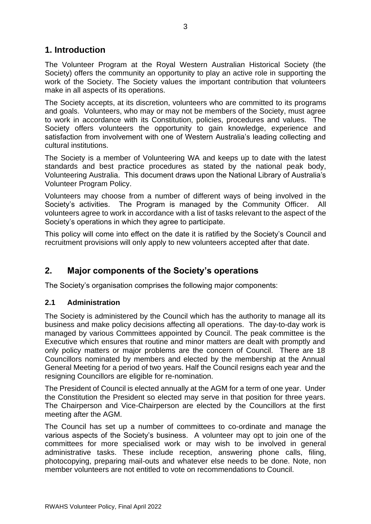### <span id="page-2-0"></span>**1. Introduction**

The Volunteer Program at the Royal Western Australian Historical Society (the Society) offers the community an opportunity to play an active role in supporting the work of the Society. The Society values the important contribution that volunteers make in all aspects of its operations.

The Society accepts, at its discretion, volunteers who are committed to its programs and goals. Volunteers, who may or may not be members of the Society, must agree to work in accordance with its Constitution, policies, procedures and values. The Society offers volunteers the opportunity to gain knowledge, experience and satisfaction from involvement with one of Western Australia's leading collecting and cultural institutions.

The Society is a member of Volunteering WA and keeps up to date with the latest standards and best practice procedures as stated by the national peak body, Volunteering Australia. This document draws upon the National Library of Australia's Volunteer Program Policy.

Volunteers may choose from a number of different ways of being involved in the Society's activities. The Program is managed by the Community Officer. All volunteers agree to work in accordance with a list of tasks relevant to the aspect of the Society's operations in which they agree to participate.

This policy will come into effect on the date it is ratified by the Society's Council and recruitment provisions will only apply to new volunteers accepted after that date.

### <span id="page-2-1"></span>**2. Major components of the Society's operations**

The Society's organisation comprises the following major components:

### <span id="page-2-2"></span>**2.1 Administration**

The Society is administered by the Council which has the authority to manage all its business and make policy decisions affecting all operations. The day-to-day work is managed by various Committees appointed by Council. The peak committee is the Executive which ensures that routine and minor matters are dealt with promptly and only policy matters or major problems are the concern of Council. There are 18 Councillors nominated by members and elected by the membership at the Annual General Meeting for a period of two years. Half the Council resigns each year and the resigning Councillors are eligible for re-nomination.

The President of Council is elected annually at the AGM for a term of one year. Under the Constitution the President so elected may serve in that position for three years. The Chairperson and Vice-Chairperson are elected by the Councillors at the first meeting after the AGM.

The Council has set up a number of committees to co-ordinate and manage the various aspects of the Society's business. A volunteer may opt to join one of the committees for more specialised work or may wish to be involved in general administrative tasks. These include reception, answering phone calls, filing, photocopying, preparing mail-outs and whatever else needs to be done. Note, non member volunteers are not entitled to vote on recommendations to Council.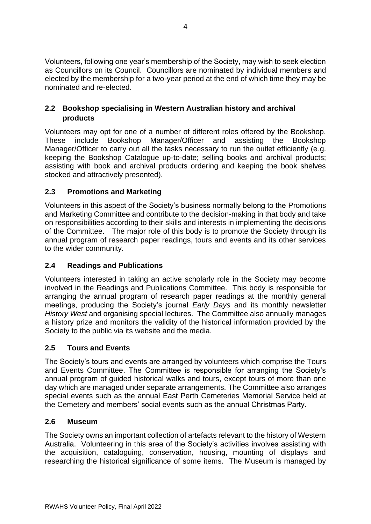Volunteers, following one year's membership of the Society, may wish to seek election as Councillors on its Council. Councillors are nominated by individual members and elected by the membership for a two-year period at the end of which time they may be nominated and re-elected.

### <span id="page-3-0"></span>**2.2 Bookshop specialising in Western Australian history and archival products**

Volunteers may opt for one of a number of different roles offered by the Bookshop. These include Bookshop Manager/Officer and assisting the Bookshop Manager/Officer to carry out all the tasks necessary to run the outlet efficiently (e.g. keeping the Bookshop Catalogue up-to-date; selling books and archival products; assisting with book and archival products ordering and keeping the book shelves stocked and attractively presented).

### <span id="page-3-1"></span>**2.3 Promotions and Marketing**

Volunteers in this aspect of the Society's business normally belong to the Promotions and Marketing Committee and contribute to the decision-making in that body and take on responsibilities according to their skills and interests in implementing the decisions of the Committee. The major role of this body is to promote the Society through its annual program of research paper readings, tours and events and its other services to the wider community.

### <span id="page-3-2"></span>**2.4 Readings and Publications**

Volunteers interested in taking an active scholarly role in the Society may become involved in the Readings and Publications Committee. This body is responsible for arranging the annual program of research paper readings at the monthly general meetings, producing the Society's journal *Early Days* and its monthly newsletter *History West* and organising special lectures. The Committee also annually manages a history prize and monitors the validity of the historical information provided by the Society to the public via its website and the media.

### <span id="page-3-3"></span>**2.5 Tours and Events**

The Society's tours and events are arranged by volunteers which comprise the Tours and Events Committee. The Committee is responsible for arranging the Society's annual program of guided historical walks and tours, except tours of more than one day which are managed under separate arrangements. The Committee also arranges special events such as the annual East Perth Cemeteries Memorial Service held at the Cemetery and members' social events such as the annual Christmas Party.

### <span id="page-3-4"></span>**2.6 Museum**

The Society owns an important collection of artefacts relevant to the history of Western Australia. Volunteering in this area of the Society's activities involves assisting with the acquisition, cataloguing, conservation, housing, mounting of displays and researching the historical significance of some items. The Museum is managed by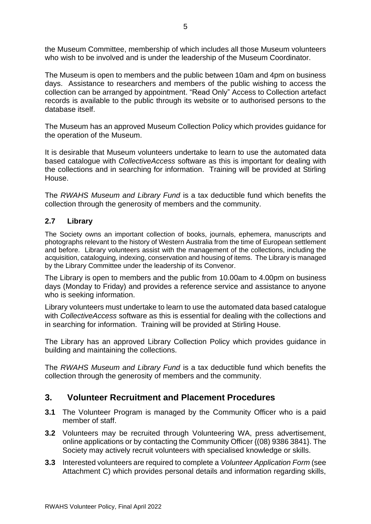the Museum Committee, membership of which includes all those Museum volunteers who wish to be involved and is under the leadership of the Museum Coordinator.

The Museum is open to members and the public between 10am and 4pm on business days. Assistance to researchers and members of the public wishing to access the collection can be arranged by appointment. "Read Only" Access to Collection artefact records is available to the public through its website or to authorised persons to the database itself.

The Museum has an approved Museum Collection Policy which provides guidance for the operation of the Museum.

It is desirable that Museum volunteers undertake to learn to use the automated data based catalogue with *CollectiveAccess* software as this is important for dealing with the collections and in searching for information. Training will be provided at Stirling House.

The *RWAHS Museum and Library Fund* is a tax deductible fund which benefits the collection through the generosity of members and the community.

### <span id="page-4-0"></span>**2.7 Library**

The Society owns an important collection of books, journals, ephemera, manuscripts and photographs relevant to the history of Western Australia from the time of European settlement and before. Library volunteers assist with the management of the collections, including the acquisition, cataloguing, indexing, conservation and housing of items. The Library is managed by the Library Committee under the leadership of its Convenor.

The Library is open to members and the public from 10.00am to 4.00pm on business days (Monday to Friday) and provides a reference service and assistance to anyone who is seeking information.

Library volunteers must undertake to learn to use the automated data based catalogue with *CollectiveAccess* software as this is essential for dealing with the collections and in searching for information. Training will be provided at Stirling House.

The Library has an approved Library Collection Policy which provides guidance in building and maintaining the collections.

The *RWAHS Museum and Library Fund* is a tax deductible fund which benefits the collection through the generosity of members and the community.

### <span id="page-4-1"></span>**3. Volunteer Recruitment and Placement Procedures**

- **3.1** The Volunteer Program is managed by the Community Officer who is a paid member of staff.
- **3.2** Volunteers may be recruited through Volunteering WA, press advertisement, online applications or by contacting the Community Officer {(08) 9386 3841}. The Society may actively recruit volunteers with specialised knowledge or skills.
- **3.3** Interested volunteers are required to complete a *Volunteer Application Form* (see Attachment C) which provides personal details and information regarding skills,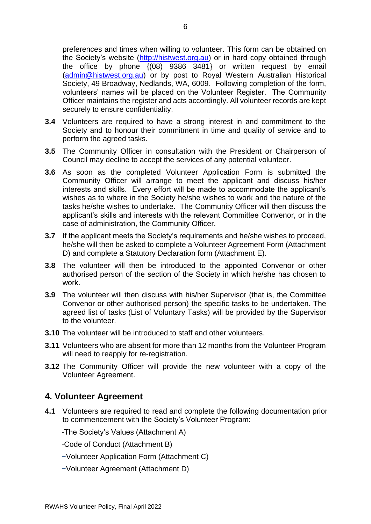preferences and times when willing to volunteer. This form can be obtained on the Society's website [\(http://histwest.org.au\)](http://histwest.org.au/) or in hard copy obtained through the office by phone  $\{(08)$  9386 3481} or written request by email [\(admin@histwest.org.au\)](mailto:admin@histwest.org.au) or by post to Royal Western Australian Historical Society, 49 Broadway, Nedlands, WA, 6009. Following completion of the form, volunteers' names will be placed on the Volunteer Register. The Community Officer maintains the register and acts accordingly. All volunteer records are kept securely to ensure confidentiality.

- **3.4** Volunteers are required to have a strong interest in and commitment to the Society and to honour their commitment in time and quality of service and to perform the agreed tasks.
- **3.5** The Community Officer in consultation with the President or Chairperson of Council may decline to accept the services of any potential volunteer.
- **3.6** As soon as the completed Volunteer Application Form is submitted the Community Officer will arrange to meet the applicant and discuss his/her interests and skills. Every effort will be made to accommodate the applicant's wishes as to where in the Society he/she wishes to work and the nature of the tasks he/she wishes to undertake. The Community Officer will then discuss the applicant's skills and interests with the relevant Committee Convenor, or in the case of administration, the Community Officer.
- **3.7** If the applicant meets the Society's requirements and he/she wishes to proceed, he/she will then be asked to complete a Volunteer Agreement Form (Attachment D) and complete a Statutory Declaration form (Attachment E).
- **3.8** The volunteer will then be introduced to the appointed Convenor or other authorised person of the section of the Society in which he/she has chosen to work.
- **3.9** The volunteer will then discuss with his/her Supervisor (that is, the Committee Convenor or other authorised person) the specific tasks to be undertaken. The agreed list of tasks (List of Voluntary Tasks) will be provided by the Supervisor to the volunteer.
- **3.10** The volunteer will be introduced to staff and other volunteers.
- **3.11** Volunteers who are absent for more than 12 months from the Volunteer Program will need to reapply for re-registration.
- **3.12** The Community Officer will provide the new volunteer with a copy of the Volunteer Agreement.

#### <span id="page-5-0"></span>**4. Volunteer Agreement**

**4.1** Volunteers are required to read and complete the following documentation prior to commencement with the Society's Volunteer Program:

-The Society's Values (Attachment A)

- -Code of Conduct (Attachment B)
- −Volunteer Application Form (Attachment C)
- −Volunteer Agreement (Attachment D)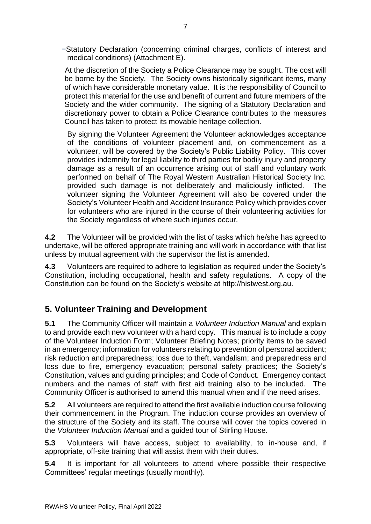−Statutory Declaration (concerning criminal charges, conflicts of interest and medical conditions) (Attachment E).

At the discretion of the Society a Police Clearance may be sought. The cost will be borne by the Society*.* The Society owns historically significant items, many of which have considerable monetary value. It is the responsibility of Council to protect this material for the use and benefit of current and future members of the Society and the wider community. The signing of a Statutory Declaration and discretionary power to obtain a Police Clearance contributes to the measures Council has taken to protect its movable heritage collection.

By signing the Volunteer Agreement the Volunteer acknowledges acceptance of the conditions of volunteer placement and, on commencement as a volunteer, will be covered by the Society's Public Liability Policy. This cover provides indemnity for legal liability to third parties for bodily injury and property damage as a result of an occurrence arising out of staff and voluntary work performed on behalf of The Royal Western Australian Historical Society Inc. provided such damage is not deliberately and maliciously inflicted. The volunteer signing the Volunteer Agreement will also be covered under the Society's Volunteer Health and Accident Insurance Policy which provides cover for volunteers who are injured in the course of their volunteering activities for the Society regardless of where such injuries occur.

**4.2** The Volunteer will be provided with the list of tasks which he/she has agreed to undertake, will be offered appropriate training and will work in accordance with that list unless by mutual agreement with the supervisor the list is amended.

**4.3** Volunteers are required to adhere to legislation as required under the Society's Constitution, including occupational, health and safety regulations. A copy of the Constitution can be found on the Society's website at http://histwest.org.au.

### <span id="page-6-0"></span>**5. Volunteer Training and Development**

**5.1** The Community Officer will maintain a *Volunteer Induction Manual* and explain to and provide each new volunteer with a hard copy. This manual is to include a copy of the Volunteer Induction Form; Volunteer Briefing Notes; priority items to be saved in an emergency; information for volunteers relating to prevention of personal accident; risk reduction and preparedness; loss due to theft, vandalism; and preparedness and loss due to fire, emergency evacuation; personal safety practices; the Society's Constitution, values and guiding principles; and Code of Conduct. Emergency contact numbers and the names of staff with first aid training also to be included. The Community Officer is authorised to amend this manual when and if the need arises.

**5.2** All volunteers are required to attend the first available induction course following their commencement in the Program. The induction course provides an overview of the structure of the Society and its staff. The course will cover the topics covered in the *Volunteer Induction Manual* and a guided tour of Stirling House.

**5.3** Volunteers will have access, subject to availability, to in-house and, if appropriate, off-site training that will assist them with their duties.

**5.4** It is important for all volunteers to attend where possible their respective Committees' regular meetings (usually monthly).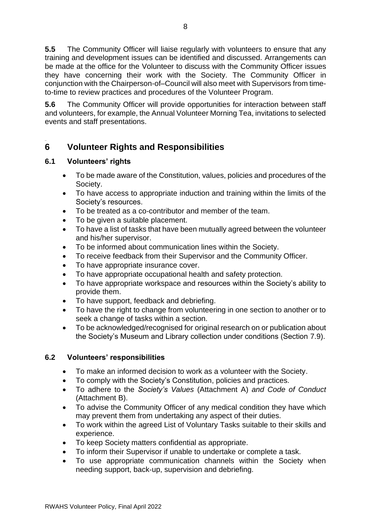**5.5** The Community Officer will liaise regularly with volunteers to ensure that any training and development issues can be identified and discussed. Arrangements can be made at the office for the Volunteer to discuss with the Community Officer issues they have concerning their work with the Society. The Community Officer in conjunction with the Chairperson-of–Council will also meet with Supervisors from timeto-time to review practices and procedures of the Volunteer Program.

**5.6** The Community Officer will provide opportunities for interaction between staff and volunteers, for example, the Annual Volunteer Morning Tea, invitations to selected events and staff presentations.

### <span id="page-7-0"></span>**6 Volunteer Rights and Responsibilities**

### <span id="page-7-1"></span>**6.1 Volunteers' rights**

- To be made aware of the Constitution, values, policies and procedures of the Society.
- To have access to appropriate induction and training within the limits of the Society's resources.
- To be treated as a co‐contributor and member of the team.
- To be given a suitable placement.
- To have a list of tasks that have been mutually agreed between the volunteer and his/her supervisor.
- To be informed about communication lines within the Society.
- To receive feedback from their Supervisor and the Community Officer.
- To have appropriate insurance cover.
- To have appropriate occupational health and safety protection.
- To have appropriate workspace and resources within the Society's ability to provide them.
- To have support, feedback and debriefing.
- To have the right to change from volunteering in one section to another or to seek a change of tasks within a section.
- To be acknowledged/recognised for original research on or publication about the Society's Museum and Library collection under conditions (Section 7.9).

### <span id="page-7-2"></span>**6.2 Volunteers' responsibilities**

- To make an informed decision to work as a volunteer with the Society.
- To comply with the Society's Constitution, policies and practices.
- To adhere to the *Society's Values* (Attachment A) *and Code of Conduct* (Attachment B).
- To advise the Community Officer of any medical condition they have which may prevent them from undertaking any aspect of their duties.
- To work within the agreed List of Voluntary Tasks suitable to their skills and experience.
- To keep Society matters confidential as appropriate.
- To inform their Supervisor if unable to undertake or complete a task.
- To use appropriate communication channels within the Society when needing support, back‐up, supervision and debriefing.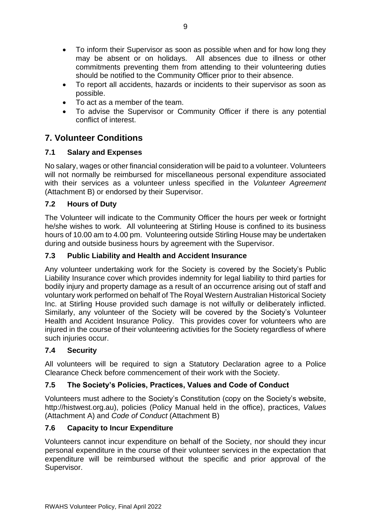- To inform their Supervisor as soon as possible when and for how long they may be absent or on holidays. All absences due to illness or other commitments preventing them from attending to their volunteering duties should be notified to the Community Officer prior to their absence.
- To report all accidents, hazards or incidents to their supervisor as soon as possible.
- To act as a member of the team.
- To advise the Supervisor or Community Officer if there is any potential conflict of interest.

### <span id="page-8-0"></span>**7. Volunteer Conditions**

### <span id="page-8-1"></span>**7.1 Salary and Expenses**

No salary, wages or other financial consideration will be paid to a volunteer. Volunteers will not normally be reimbursed for miscellaneous personal expenditure associated with their services as a volunteer unless specified in the *Volunteer Agreement* (Attachment B) or endorsed by their Supervisor.

### <span id="page-8-2"></span>**7.2 Hours of Duty**

The Volunteer will indicate to the Community Officer the hours per week or fortnight he/she wishes to work. All volunteering at Stirling House is confined to its business hours of 10.00 am to 4.00 pm. Volunteering outside Stirling House may be undertaken during and outside business hours by agreement with the Supervisor.

### <span id="page-8-3"></span>**7.3 Public Liability and Health and Accident Insurance**

Any volunteer undertaking work for the Society is covered by the Society's Public Liability Insurance cover which provides indemnity for legal liability to third parties for bodily injury and property damage as a result of an occurrence arising out of staff and voluntary work performed on behalf of The Royal Western Australian Historical Society Inc. at Stirling House provided such damage is not wilfully or deliberately inflicted. Similarly, any volunteer of the Society will be covered by the Society's Volunteer Health and Accident Insurance Policy. This provides cover for volunteers who are injured in the course of their volunteering activities for the Society regardless of where such injuries occur.

### <span id="page-8-4"></span>**7.4 Security**

All volunteers will be required to sign a Statutory Declaration agree to a Police Clearance Check before commencement of their work with the Society.

### <span id="page-8-5"></span>**7.5 The Society's Policies, Practices, Values and Code of Conduct**

Volunteers must adhere to the Society's Constitution (copy on the Society's website, http://histwest.org.au), policies (Policy Manual held in the office), practices, *Values*  (Attachment A) and *Code of Conduct* (Attachment B)

### <span id="page-8-6"></span>**7.6 Capacity to Incur Expenditure**

Volunteers cannot incur expenditure on behalf of the Society, nor should they incur personal expenditure in the course of their volunteer services in the expectation that expenditure will be reimbursed without the specific and prior approval of the Supervisor.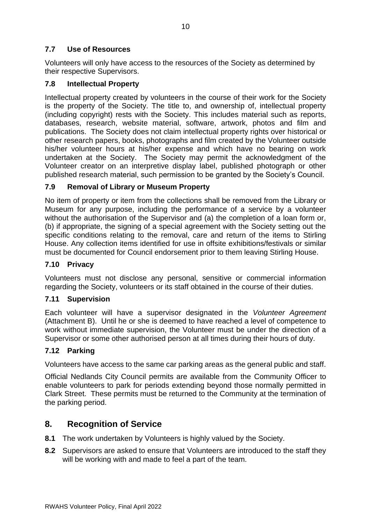### <span id="page-9-0"></span>**7.7 Use of Resources**

Volunteers will only have access to the resources of the Society as determined by their respective Supervisors.

### <span id="page-9-1"></span>**7.8 Intellectual Property**

Intellectual property created by volunteers in the course of their work for the Society is the property of the Society. The title to, and ownership of, intellectual property (including copyright) rests with the Society. This includes material such as reports, databases, research, website material, software, artwork, photos and film and publications. The Society does not claim intellectual property rights over historical or other research papers, books, photographs and film created by the Volunteer outside his/her volunteer hours at his/her expense and which have no bearing on work undertaken at the Society. The Society may permit the acknowledgment of the Volunteer creator on an interpretive display label, published photograph or other published research material, such permission to be granted by the Society's Council.

### <span id="page-9-2"></span>**7.9 Removal of Library or Museum Property**

No item of property or item from the collections shall be removed from the Library or Museum for any purpose, including the performance of a service by a volunteer without the authorisation of the Supervisor and (a) the completion of a loan form or, (b) if appropriate, the signing of a special agreement with the Society setting out the specific conditions relating to the removal, care and return of the items to Stirling House. Any collection items identified for use in offsite exhibitions/festivals or similar must be documented for Council endorsement prior to them leaving Stirling House.

#### <span id="page-9-3"></span>**7.10 Privacy**

Volunteers must not disclose any personal, sensitive or commercial information regarding the Society, volunteers or its staff obtained in the course of their duties.

#### <span id="page-9-4"></span>**7.11 Supervision**

Each volunteer will have a supervisor designated in the *Volunteer Agreement* (Attachment B). Until he or she is deemed to have reached a level of competence to work without immediate supervision, the Volunteer must be under the direction of a Supervisor or some other authorised person at all times during their hours of duty.

#### <span id="page-9-5"></span>**7.12 Parking**

Volunteers have access to the same car parking areas as the general public and staff.

Official Nedlands City Council permits are available from the Community Officer to enable volunteers to park for periods extending beyond those normally permitted in Clark Street. These permits must be returned to the Community at the termination of the parking period.

### <span id="page-9-6"></span>**8. Recognition of Service**

- **8.1** The work undertaken by Volunteers is highly valued by the Society.
- **8.2** Supervisors are asked to ensure that Volunteers are introduced to the staff they will be working with and made to feel a part of the team.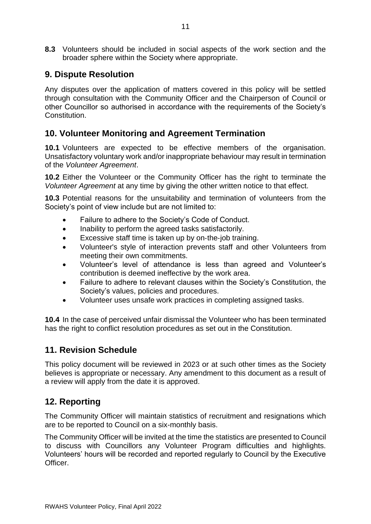**8.3** Volunteers should be included in social aspects of the work section and the broader sphere within the Society where appropriate.

### <span id="page-10-0"></span>**9. Dispute Resolution**

Any disputes over the application of matters covered in this policy will be settled through consultation with the Community Officer and the Chairperson of Council or other Councillor so authorised in accordance with the requirements of the Society's Constitution.

### <span id="page-10-1"></span>**10. Volunteer Monitoring and Agreement Termination**

**10.1** Volunteers are expected to be effective members of the organisation. Unsatisfactory voluntary work and/or inappropriate behaviour may result in termination of the *Volunteer Agreement*.

**10.2** Either the Volunteer or the Community Officer has the right to terminate the *Volunteer Agreement* at any time by giving the other written notice to that effect.

**10.3** Potential reasons for the unsuitability and termination of volunteers from the Society's point of view include but are not limited to:

- Failure to adhere to the Society's Code of Conduct.
- Inability to perform the agreed tasks satisfactorily.
- Excessive staff time is taken up by on‐the‐job training.
- Volunteer's style of interaction prevents staff and other Volunteers from meeting their own commitments.
- Volunteer's level of attendance is less than agreed and Volunteer's contribution is deemed ineffective by the work area.
- Failure to adhere to relevant clauses within the Society's Constitution, the Society's values, policies and procedures.
- Volunteer uses unsafe work practices in completing assigned tasks.

**10.4** In the case of perceived unfair dismissal the Volunteer who has been terminated has the right to conflict resolution procedures as set out in the Constitution.

### <span id="page-10-2"></span>**11. Revision Schedule**

This policy document will be reviewed in 2023 or at such other times as the Society believes is appropriate or necessary. Any amendment to this document as a result of a review will apply from the date it is approved.

### <span id="page-10-3"></span>**12. Reporting**

The Community Officer will maintain statistics of recruitment and resignations which are to be reported to Council on a six-monthly basis.

The Community Officer will be invited at the time the statistics are presented to Council to discuss with Councillors any Volunteer Program difficulties and highlights. Volunteers' hours will be recorded and reported regularly to Council by the Executive Officer.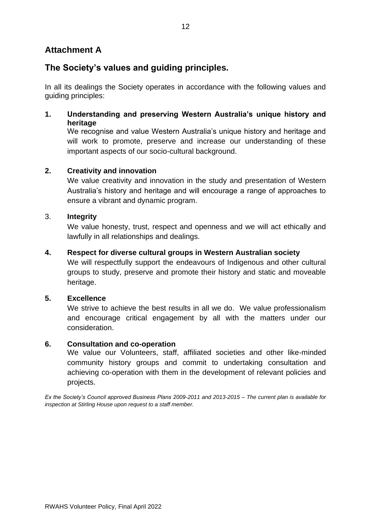### **Attachment A**

### **The Society's values and guiding principles.**

In all its dealings the Society operates in accordance with the following values and guiding principles:

**1. Understanding and preserving Western Australia's unique history and heritage**

We recognise and value Western Australia's unique history and heritage and will work to promote, preserve and increase our understanding of these important aspects of our socio-cultural background.

### **2. Creativity and innovation**

We value creativity and innovation in the study and presentation of Western Australia's history and heritage and will encourage a range of approaches to ensure a vibrant and dynamic program.

### 3. **Integrity**

We value honesty, trust, respect and openness and we will act ethically and lawfully in all relationships and dealings.

### **4. Respect for diverse cultural groups in Western Australian society**

We will respectfully support the endeavours of Indigenous and other cultural groups to study, preserve and promote their history and static and moveable heritage.

#### **5. Excellence**

We strive to achieve the best results in all we do. We value professionalism and encourage critical engagement by all with the matters under our consideration.

#### **6. Consultation and co-operation**

We value our Volunteers, staff, affiliated societies and other like-minded community history groups and commit to undertaking consultation and achieving co-operation with them in the development of relevant policies and projects.

*Ex the Society's Council approved Business Plans 2009-2011 and 2013-2015 – The current plan is available for inspection at Stirling House upon request to a staff member.*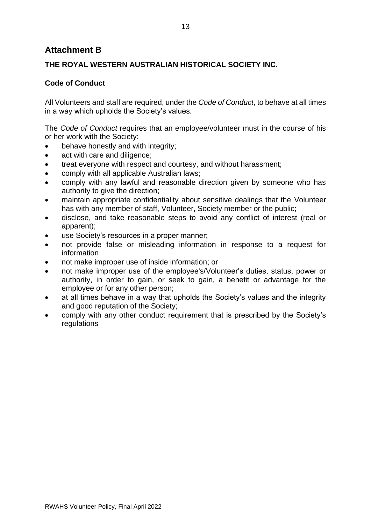### <span id="page-12-0"></span>**Attachment B**

### **THE ROYAL WESTERN AUSTRALIAN HISTORICAL SOCIETY INC.**

### **Code of Conduct**

All Volunteers and staff are required, under the *Code of Conduct*, to behave at all times in a way which upholds the Society's values.

The *Code of Conduct* requires that an employee/volunteer must in the course of his or her work with the Society:

- behave honestly and with integrity;
- act with care and diligence;
- treat everyone with respect and courtesy, and without harassment;
- comply with all applicable Australian laws;
- comply with any lawful and reasonable direction given by someone who has authority to give the direction;
- maintain appropriate confidentiality about sensitive dealings that the Volunteer has with any member of staff, Volunteer, Society member or the public;
- disclose, and take reasonable steps to avoid any conflict of interest (real or apparent);
- use Society's resources in a proper manner;
- not provide false or misleading information in response to a request for information
- not make improper use of inside information; or
- not make improper use of the employee's/Volunteer's duties, status, power or authority, in order to gain, or seek to gain, a benefit or advantage for the employee or for any other person;
- at all times behave in a way that upholds the Society's values and the integrity and good reputation of the Society;
- comply with any other conduct requirement that is prescribed by the Society's regulations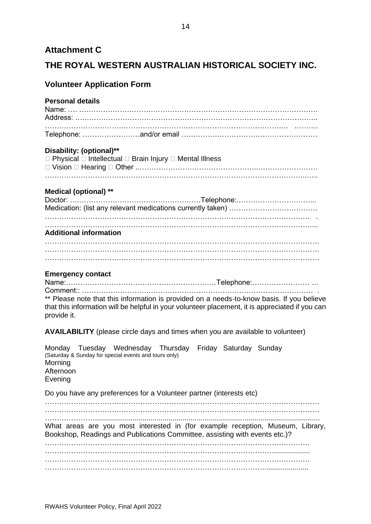### <span id="page-13-0"></span>**Attachment C**

### **THE ROYAL WESTERN AUSTRALIAN HISTORICAL SOCIETY INC.**

### **Volunteer Application Form**

### **Personal details**

#### **Disability: (optional)\*\***

| $\Box$ Physical $\Box$ Intellectual $\Box$ Brain Injury $\Box$ Mental Illness |  |
|-------------------------------------------------------------------------------|--|
|                                                                               |  |
|                                                                               |  |

#### **Medical (optional) \*\***

| <b>Additional information</b> |  |  |
|-------------------------------|--|--|
|                               |  |  |
|                               |  |  |
|                               |  |  |

#### **Emergency contact**

Name:………………………………………………………Telephone:…………………… … Comment:: ……………………….…………………………………………………………… .

\*\* Please note that this information is provided on a needs-to-know basis. If you believe that this information will be helpful in your volunteer placement, it is appreciated if you can provide it.

**AVAILABILITY** (please circle days and times when you are available to volunteer)

| Morning<br>Afternoon<br>Evening | Monday Tuesday Wednesday Thursday Friday Saturday Sunday<br>(Saturday & Sunday for special events and tours only) |  |                                                                                |
|---------------------------------|-------------------------------------------------------------------------------------------------------------------|--|--------------------------------------------------------------------------------|
|                                 | Do you have any preferences for a Volunteer partner (interests etc)                                               |  |                                                                                |
|                                 | Bookshop, Readings and Publications Committee, assisting with events etc.)?                                       |  | What areas are you most interested in (for example reception, Museum, Library, |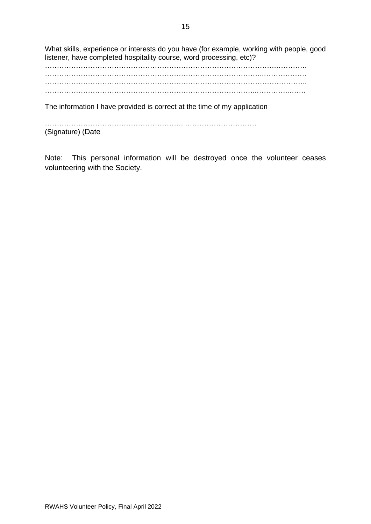What skills, experience or interests do you have (for example, working with people, good listener, have completed hospitality course, word processing, etc)?

…………………………………………………………………………………….…………. ………………………………………………………………………………..……………… ……………………………………………………………………………………………….. ……………………………………………………………………………..…………..…….

The information I have provided is correct at the time of my application

…………………………………………………. ………………………… (Signature) (Date

Note: This personal information will be destroyed once the volunteer ceases volunteering with the Society.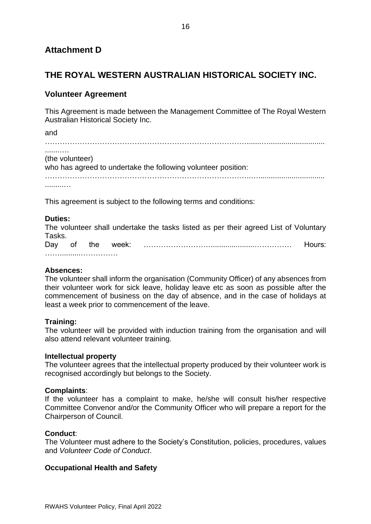### <span id="page-15-0"></span>**Attachment D**

### **THE ROYAL WESTERN AUSTRALIAN HISTORICAL SOCIETY INC.**

### **Volunteer Agreement**

This Agreement is made between the Management Committee of The Royal Western Australian Historical Society Inc.

and ……………………………………………………………………….......…........................... .......…. (the volunteer) who has agreed to undertake the following volunteer position: ………………………………………………………………………..…................................ .........…

This agreement is subject to the following terms and conditions:

#### **Duties:**

The volunteer shall undertake the tasks listed as per their agreed List of Voluntary Tasks.

Day of the week: ……………………….....................…………… Hours: ……………………………………

#### **Absences:**

The volunteer shall inform the organisation (Community Officer) of any absences from their volunteer work for sick leave, holiday leave etc as soon as possible after the commencement of business on the day of absence, and in the case of holidays at least a week prior to commencement of the leave.

#### **Training:**

The volunteer will be provided with induction training from the organisation and will also attend relevant volunteer training.

#### **Intellectual property**

The volunteer agrees that the intellectual property produced by their volunteer work is recognised accordingly but belongs to the Society.

#### **Complaints**:

If the volunteer has a complaint to make, he/she will consult his/her respective Committee Convenor and/or the Community Officer who will prepare a report for the Chairperson of Council.

#### **Conduct**:

The Volunteer must adhere to the Society's Constitution, policies, procedures, values and *Volunteer Code of Conduct*.

#### **Occupational Health and Safety**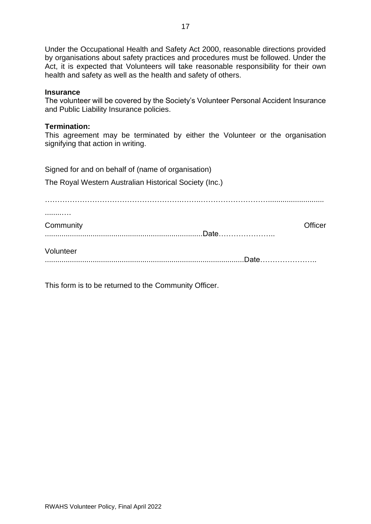Under the Occupational Health and Safety Act 2000, reasonable directions provided by organisations about safety practices and procedures must be followed. Under the Act, it is expected that Volunteers will take reasonable responsibility for their own health and safety as well as the health and safety of others.

#### **Insurance**

The volunteer will be covered by the Society's Volunteer Personal Accident Insurance and Public Liability Insurance policies.

#### **Termination:**

This agreement may be terminated by either the Volunteer or the organisation signifying that action in writing.

| Signed for and on behalf of (name of organisation)<br>The Royal Western Australian Historical Society (Inc.) |                                                                                                                |
|--------------------------------------------------------------------------------------------------------------|----------------------------------------------------------------------------------------------------------------|
| Community                                                                                                    | Officer<br>.Date                                                                                               |
| Volunteer                                                                                                    | Date to the contract of the contract of the contract of the contract of the contract of the contract of the co |

This form is to be returned to the Community Officer.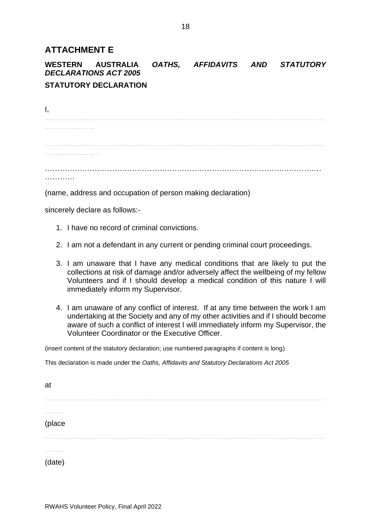### <span id="page-17-0"></span>**ATTACHMENT E**

**WESTERN AUSTRALIA** *OATHS, AFFIDAVITS AND STATUTORY DECLARATIONS ACT 2005*

### **STATUTORY DECLARATION**

I, ....................................................................................................................................... ........................ ....................................................................................................................................... ........................... ………………………………………………………………………………………………… …………

(name, address and occupation of person making declaration)

sincerely declare as follows:-

- 1. I have no record of criminal convictions.
- 2. I am not a defendant in any current or pending criminal court proceedings.
- 3. I am unaware that I have any medical conditions that are likely to put the collections at risk of damage and/or adversely affect the wellbeing of my fellow Volunteers and if I should develop a medical condition of this nature I will immediately inform my Supervisor.
- 4. I am unaware of any conflict of interest. If at any time between the work I am undertaking at the Society and any of my other activities and if I should become aware of such a conflict of interest I will immediately inform my Supervisor, the Volunteer Coordinator or the Executive Officer.

(insert content of the statutory declaration; use numbered paragraphs if content is long)

This declaration is made under the *Oaths, Affidavits and Statutory Declarations Act 2005*

| at     |  |
|--------|--|
|        |  |
| .      |  |
| (place |  |
| .      |  |
| .      |  |
| (date) |  |